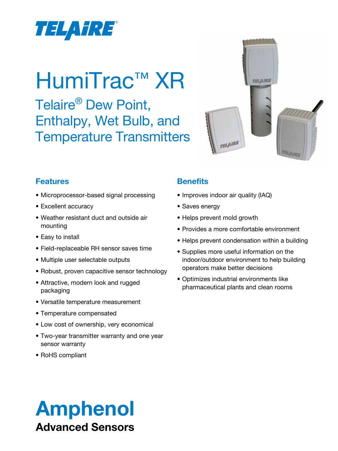

# HumiTrac™ XR

Telaire® Dew Point, Enthalpy, Wet Bulb, and Temperature Transmitters



## **Features**

- Microprocessor-based signal processing
- Excellent accuracy
- • Weather resistant duct and outside air mounting
- Easy to install
- • Field-replaceable RH sensor saves time
- Multiple user selectable outputs
- Robust, proven capacitive sensor technology
- Attractive, modern look and rugged packaging
- • Versatile temperature measurement
- • Temperature compensated
- Low cost of ownership, very economical
- Two-year transmitter warranty and one year sensor warranty
- RoHS compliant

## **Benefits**

- Improves indoor air quality (IAQ)
- Saves energy
- Helps prevent mold growth
- • Provides a more comfortable environment
- Helps prevent condensation within a building
- Supplies more useful information on the indoor/outdoor environment to help building operators make better decisions
- • Optimizes industrial environments like pharmaceutical plants and clean rooms

## Amphenol Advanced Sensors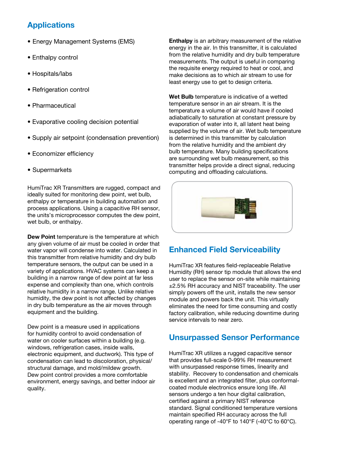## **Applications**

- Energy Management Systems (EMS)
- Enthalpy control
- Hospitals/labs
- Refrigeration control
- Pharmaceutical
- Evaporative cooling decision potential
- Supply air setpoint (condensation prevention)
- Economizer efficiency
- • Supermarkets

HumiTrac XR Transmitters are rugged, compact and ideally suited for monitoring dew point, wet bulb, enthalpy or temperature in building automation and process applications. Using a capacitive RH sensor, the units's microprocessor computes the dew point, wet bulb, or enthalpy.

**Dew Point** temperature is the temperature at which any given volume of air must be cooled in order that water vapor will condense into water. Calculated in this transmitter from relative humidity and dry bulb temperature sensors, the output can be used in a variety of applications. HVAC systems can keep a building in a narrow range of dew point at far less expense and complexity than one, which controls relative humidity in a narrow range. Unlike relative humidity, the dew point is not affected by changes in dry bulb temperature as the air moves through equipment and the building.

Dew point is a measure used in applications for humidity control to avoid condensation of water on cooler surfaces within a building (e.g. windows, refrigeration cases, inside walls, electronic equipment, and ductwork). This type of condensation can lead to discoloration, physical/ structural damage, and mold/mildew growth. Dew point control provides a more comfortable environment, energy savings, and better indoor air quality.

**Enthalpy** is an arbitrary measurement of the relative energy in the air. In this transmitter, it is calculated from the relative humidity and dry bulb temperature measurements. The output is useful in comparing the requisite energy required to heat or cool, and make decisions as to which air stream to use for least energy use to get to design criteria.

**Wet Bulb** temperature is indicative of a wetted temperature sensor in an air stream. It is the temperature a volume of air would have if cooled adiabatically to saturation at constant pressure by evaporation of water into it, all latent heat being supplied by the volume of air. Wet bulb temperature is determined in this transmitter by calculation from the relative humidity and the ambient dry bulb temperature. Many building specifications are surrounding wet bulb measurement, so this transmitter helps provide a direct signal, reducing computing and offloading calculations.



## **Enhanced Field Serviceability**

HumiTrac XR features field-replaceable Relative Humidity (RH) sensor tip module that allows the end user to replace the sensor on-site while maintaining ±2.5% RH accuracy and NIST traceability. The user simply powers off the unit, installs the new sensor module and powers back the unit. This virtually eliminates the need for time consuming and costly factory calibration, while reducing downtime during service intervals to near zero.

## **Unsurpassed Sensor Performance**

HumiTrac XR utilizes a rugged capacitive sensor that provides full-scale 0-99% RH measurement with unsurpassed response times, linearity and stability. Recovery to condensation and chemicals is excellent and an integrated filter, plus conformalcoated module electronics ensure long life. All sensors undergo a ten hour digital calibration, certified against a primary NIST reference standard. Signal conditioned temperature versions maintain specified RH accuracy across the full operating range of -40°F to 140°F (-40°C to 60°C).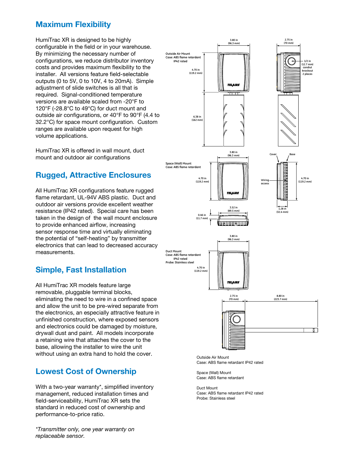## **Maximum Flexibility**

HumiTrac XR is designed to be highly configurable in the field or in your warehouse. By minimizing the necessary number of configurations, we reduce distributor inventory costs and provides maximum flexibility to the installer. All versions feature field-selectable outputs (0 to 5V, 0 to 10V, 4 to 20mA). Simple adjustment of slide switches is all that is required. Signal-conditioned temperature versions are available scaled from -20°F to 120°F (-28.8°C to 49°C) for duct mount and outside air configurations, or 40°F to 90°F (4.4 to 32.2°C) for space mount configuration. Custom ranges are available upon request for high volume applications.

HumiTrac XR is offered in wall mount, duct mount and outdoor air configurations

## **Rugged, Attractive Enclosures**

All HumiTrac XR configurations feature rugged flame retardant, UL-94V ABS plastic. Duct and outdoor air versions provide excellent weather resistance (IP42 rated). Special care has been taken in the design of the wall mount enclosure to provide enhanced airflow, increasing sensor response time and virtually eliminating the potential of "self-heating" by transmitter electronics that can lead to decreased accuracy measurements.

## **Simple, Fast Installation**

All HumiTrac XR models feature large removable, pluggable terminal blocks, eliminating the need to wire in a confined space and allow the unit to be pre-wired separate from the electronics, an especially attractive feature in unfinished construction, where exposed sensors and electronics could be damaged by moisture, drywall dust and paint. All models incorporate a retaining wire that attaches the cover to the base, allowing the installer to wire the unit without using an extra hand to hold the cover.

## **Lowest Cost of Ownership**

With a two-year warranty\*, simplified inventory management, reduced installation times and field-serviceability, HumiTrac XR sets the standard in reduced cost of ownership and performance-to-price ratio.

*\*Transmitter only, one year warranty on replaceable sensor.*



Outside Air Mount Case: ABS flame retardant IP42 rated

Space (Wall) Mount Case: ABS flame retardant

Duct Mount Case: ABS flame retardant IP42 rated Probe: Stainless steel